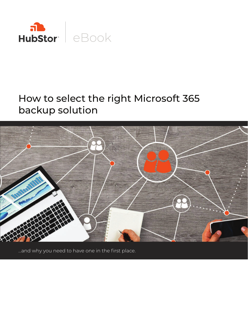

# How to select the right Microsoft 365 backup solution



...and why you need to have one in the first place.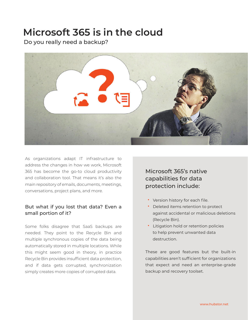### **Microsoft 365 is in the cloud**

Do you really need a backup?



As organizations adapt IT infrastructure to address the changes in how we work, Microsoft 365 has become the go-to cloud productivity and collaboration tool. That means it's also the main repository of emails, documents, meetings, conversations, project plans, and more.

#### But what if you lost that data? Even a small portion of it?

Some folks disagree that SaaS backups are needed. They point to the Recycle Bin and multiple synchronous copies of the data being automatically stored in multiple locations. While this might seem good in theory, in practice Recycle Bin provides insufficient data protection, and if data gets corrupted, synchronization simply creates more copies of corrupted data.

#### Microsoft 365's native capabilities for data protection include:

- Version history for each file.
- Deleted items retention to protect against accidental or malicious deletions (Recycle Bin).
- Litigation hold or retention policies to help prevent unwanted data destruction.

These are good features but the built-in capabilities aren't sufficient for organizations that expect and need an enterprise-grade backup and recovery toolset.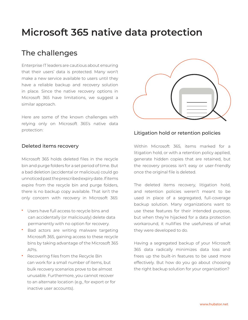# **Microsoft 365 native data protection**

#### The challenges

Enterprise IT leaders are cautious about ensuring that their users' data is protected. Many won't make a new service available to users until they have a reliable backup and recovery solution in place. Since the native recovery options in Microsoft 365 have limitations, we suggest a similar approach.

Here are some of the known challenges with relying only on Microsoft 365's native data protection:

#### Deleted items recovery

Microsoft 365 holds deleted files in the recycle bin and purge folders for a set period of time. But a bad deletion (accidental or malicious) could go unnoticed past the prescribed expiry date. If items expire from the recycle bin and purge folders, there is no backup copy available. That isn't the only concern with recovery in Microsoft 365:

- Users have full access to recycle bins and can accidentally (or maliciously) delete data permanently with no option for recovery.
- Bad actors are writing malware targeting Microsoft 365, gaining access to these recycle bins by taking advantage of the Microsoft 365 APIs.
- Recovering files from the Recycle Bin can work for a small number of items, but bulk recovery scenarios prove to be almost unusable. Furthermore, you cannot recover to an alternate location (e.g., for export or for inactive user accounts).



#### Litigation hold or retention policies

Within Microsoft 365, items marked for a litigation hold, or with a retention policy applied, generate hidden copies that are retained, but the recovery process isn't easy or user-friendly once the original file is deleted.

The deleted items recovery, litigation hold, and retention policies weren't meant to be used in place of a segregated, full-coverage backup solution. Many organizations want to use these features for their intended purpose, but when they're hijacked for a data protection workaround, it nullifies the usefulness of what they were developed to do.

Having a segregated backup of your Microsoft 365 data radically minimizes data loss and frees up the built-in features to be used more effectively. But how do you go about choosing the right backup solution for your organization?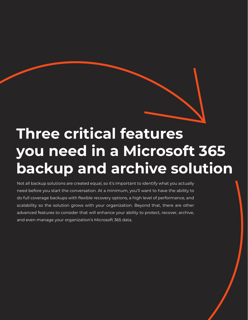

# **Three critical features you need in a Microsoft 365 backup and archive solution**

Not all backup solutions are created equal, so it's important to identify what you actually need before you start the conversation. At a minimum, you'll want to have the ability to do full coverage backups with flexible recovery options, a high level of performance, and scalability so the solution grows with your organization. Beyond that, there are other advanced features to consider that will enhance your ability to protect, recover, archive, and even manage your organization's Microsoft 365 data.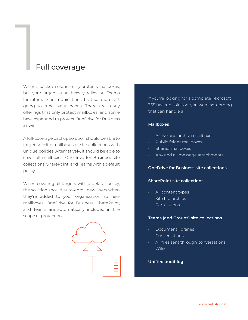# **1**<br>Full coverage

When a backup solution only protects mailboxes, but your organization heavily relies on Teams for internal communications, that solution isn't going to meet your needs. There are many offerings that only protect mailboxes, and some have expanded to protect OneDrive for Business as well.

A full-coverage backup solution should be able to target specific mailboxes or site collections with unique policies. Alternatively, it should be able to cover all mailboxes, OneDrive for Business site collections, SharePoint, and Teams with a default policy.

When covering all targets with a default policy, the solution should auto-enroll new users when they're added to your organization so new mailboxes, OneDrive for Business, SharePoint, and Teams are automatically included in the scope of protection.



If you're looking for a complete Microsoft 365 backup solution, you want something that can handle all:

#### **Mailboxes**

- Active and archive mailboxes
- Public folder mailboxes
- Shared mailboxes
- Any and all message attachments

#### **OneDrive for Business site collections**

#### **SharePoint site collections**

- All content types
- Site hierarchies
- Permissions

#### **Teams (and Groups) site collections**

- Document libraries
- Conversations
- All files sent through conversations
- Wikis

#### **Unified audit log**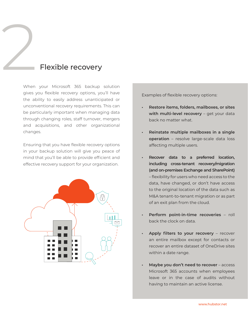# **2**<br>Flexible recovery

When your Microsoft 365 backup solution gives you flexible recovery options, you'll have the ability to easily address unanticipated or unconventional recovery requirements. This can be particularly important when managing data through changing roles, staff turnover, mergers and acquisitions, and other organizational changes.

Ensuring that you have flexible recovery options in your backup solution will give you peace of mind that you'll be able to provide efficient and effective recovery support for your organization.



Examples of flexible recovery options:

- **Restore items, folders, mailboxes, or sites with multi-level recovery** – get your data back no matter what.
- **Reinstate multiple mailboxes in a single operation** – resolve large-scale data loss affecting multiple users.
- **Recover data to a preferred location, including cross-tenant recovery/migration (and on-premises Exchange and SharePoint)** – flexibility for users who need access to the data, have changed, or don't have access to the original location of the data such as M&A tenant-to-tenant migration or as part of an exit plan from the cloud.
- **Perform point-in-time recoveries** roll back the clock on data.
- Apply filters to your recovery recover an entire mailbox except for contacts or recover an entire dataset of OneDrive sites within a date range.
- **Maybe you don't need to recover** access Microsoft 365 accounts when employees leave or in the case of audits without having to maintain an active license.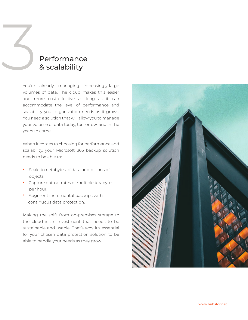# **3 Performance**<br>8 scalability & scalability

You're already managing increasingly-large volumes of data. The cloud makes this easier and more cost-effective as long as it can accommodate the level of performance and scalability your organization needs as it grows. You need a solution that will allow you to manage your volume of data today, tomorrow, and in the years to come.

When it comes to choosing for performance and scalability, your Microsoft 365 backup solution needs to be able to:

- Scale to petabytes of data and billions of objects,
- Capture data at rates of multiple terabytes per hour.
- Augment incremental backups with continuous data protection.

Making the shift from on-premises storage to the cloud is an investment that needs to be sustainable and usable. That's why it's essential for your chosen data protection solution to be able to handle your needs as they grow.

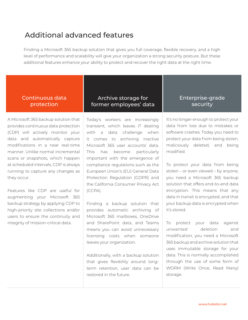#### Additional advanced features

Finding a Microsoft 365 backup solution that gives you full coverage, flexible recovery, and a high level of performance and scalability will give your organization a strong security posture. But these additional features enhance your ability to protect and recover the right data at the right time.

#### Continuous data protection

A Microsoft 365 backup solution that provides continuous data protection (CDP) will actively monitor your data and automatically capture modifications in a near real-time manner. Unlike normal incremental scans or snapshots, which happen at scheduled intervals, CDP is always running to capture any changes as they occur.

Features like CDP are useful for augmenting your Microsoft 365 backup strategy by applying CDP to high-priority site collections and/or users to ensure the continuity and integrity of mission-critical data.

#### Archive storage for former employees' data

Today's workers are increasingly transient, which leaves IT dealing with a data challenge when it comes to archiving inactive Microsoft 365 user accounts' data. This has become particularly important with the emergence of compliance regulations such as the European Union's (EU) General Data Protection Regulation (GDPR) and the California Consumer Privacy Act (CCPA).

Finding a backup solution that provides automatic archiving of Microsoft 365 mailboxes, OneDrive and SharePoint data, and Teams means you can avoid unnecessary licensing costs when someone leaves your organization.

Additionally, with a backup solution that gives flexibility around longterm retention, user data can be restored in the future.

#### Enterprise-grade security

It's no longer enough to protect your data from loss due to mistakes or software crashes. Today you need to protect your data from being stolen, maliciously deleted, and being modified.

To protect your data from being stolen – or even viewed – by anyone, you need a Microsoft 365 backup solution that offers end-to-end data encryption. This means that any data in transit is encrypted, and that your backup data is encrypted when it's stored.

To protect your data against unwanted deletion and modification, you need a Microsoft 365 backup and archive solution that uses immutable storage for your data. This is normally accomplished through the use of some form of WORM (Write Once, Read Many) storage.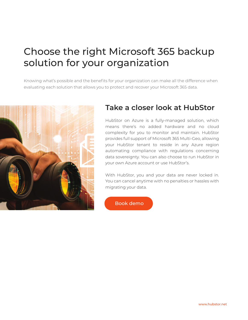## Choose the right Microsoft 365 backup solution for your organization

Knowing what's possible and the benefits for your organization can make all the difference when evaluating each solution that allows you to protect and recover your Microsoft 365 data.



#### **Take a closer look at HubStor**

HubStor on Azure is a fully-managed solution, which means there's no added hardware and no cloud complexity for you to monitor and maintain. HubStor provides full support of Microsoft 365 Multi-Geo, allowing your HubStor tenant to reside in any Azure region automating compliance with regulations concerning data sovereignty. You can also choose to run HubStor in your own Azure account or use HubStor's.

With HubStor, you and your data are never locked in. You can cancel anytime with no penalties or hassles with migrating your data.

[Book demo](https://www.hubstor.net/demo-request/?utm_source=offline&utm_medium=report&utm_campaign=microsoft365ebook)